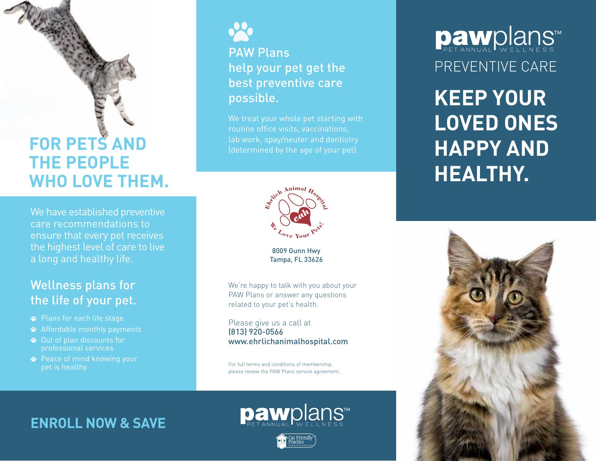# **FOR PETS AND THE PEOPLE WHO LOVE THEM.**

We have established preventive care recommendations to ensure that every pet receives the highest level of care to live a long and healthy life.

#### Wellness plans for the life of your pet.

- Plans for each life stage
- Affordable monthly payments
- Out of plan discounts for professional services
- **<sup>■</sup>** Peace of mind knowing your pet is healthy



#### PAW Plans help your pet get the best preventive care possible.

We treat your whole pet starting with routine office visits, vaccinations, lab work, spay/neuter and dentistry



8009 Gunn Hwy Tampa, FL 33626

We're happy to talk with you about your PAW Plans or answer any questions related to your pet's health.

Please give us a call at (813) 920-0566 www.ehrlichanimalhospital.com

For full terms and conditions of membership, please review the PAW Plans service agreement.

#### **ENROLL NOW & SAVE**



**paw**plans™

# PREVENTIVE CARE **Daw**plans™

**KEEP YOUR LOVED ONES HAPPY AND HEALTHY.**